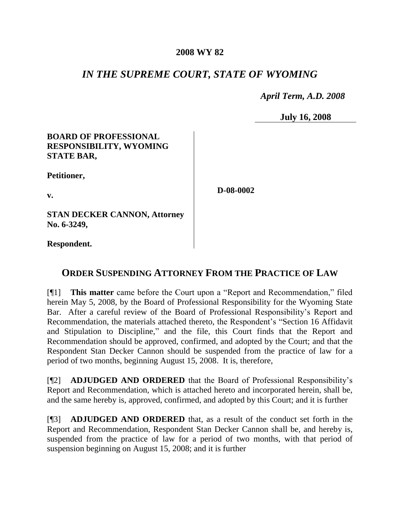## **2008 WY 82**

# *IN THE SUPREME COURT, STATE OF WYOMING*

*April Term, A.D. 2008*

**July 16, 2008**

# **BOARD OF PROFESSIONAL RESPONSIBILITY, WYOMING STATE BAR,**

**Petitioner,**

**v.**

**D-08-0002**

**STAN DECKER CANNON, Attorney No. 6-3249,**

**Respondent.**

# **ORDER SUSPENDING ATTORNEY FROM THE PRACTICE OF LAW**

[¶1] **This matter** came before the Court upon a "Report and Recommendation," filed herein May 5, 2008, by the Board of Professional Responsibility for the Wyoming State Bar. After a careful review of the Board of Professional Responsibility's Report and Recommendation, the materials attached thereto, the Respondent's "Section 16 Affidavit and Stipulation to Discipline," and the file, this Court finds that the Report and Recommendation should be approved, confirmed, and adopted by the Court; and that the Respondent Stan Decker Cannon should be suspended from the practice of law for a period of two months, beginning August 15, 2008. It is, therefore,

[¶2] **ADJUDGED AND ORDERED** that the Board of Professional Responsibility's Report and Recommendation, which is attached hereto and incorporated herein, shall be, and the same hereby is, approved, confirmed, and adopted by this Court; and it is further

[¶3] **ADJUDGED AND ORDERED** that, as a result of the conduct set forth in the Report and Recommendation, Respondent Stan Decker Cannon shall be, and hereby is, suspended from the practice of law for a period of two months, with that period of suspension beginning on August 15, 2008; and it is further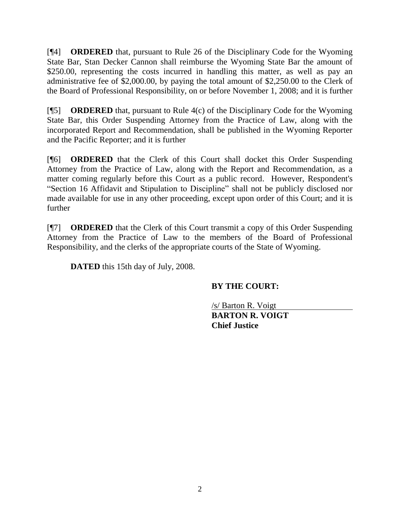[¶4] **ORDERED** that, pursuant to Rule 26 of the Disciplinary Code for the Wyoming State Bar, Stan Decker Cannon shall reimburse the Wyoming State Bar the amount of \$250.00, representing the costs incurred in handling this matter, as well as pay an administrative fee of \$2,000.00, by paying the total amount of \$2,250.00 to the Clerk of the Board of Professional Responsibility, on or before November 1, 2008; and it is further

[¶5] **ORDERED** that, pursuant to Rule 4(c) of the Disciplinary Code for the Wyoming State Bar, this Order Suspending Attorney from the Practice of Law, along with the incorporated Report and Recommendation, shall be published in the Wyoming Reporter and the Pacific Reporter; and it is further

[¶6] **ORDERED** that the Clerk of this Court shall docket this Order Suspending Attorney from the Practice of Law, along with the Report and Recommendation, as a matter coming regularly before this Court as a public record. However, Respondent's "Section 16 Affidavit and Stipulation to Discipline" shall not be publicly disclosed nor made available for use in any other proceeding, except upon order of this Court; and it is further

[¶7] **ORDERED** that the Clerk of this Court transmit a copy of this Order Suspending Attorney from the Practice of Law to the members of the Board of Professional Responsibility, and the clerks of the appropriate courts of the State of Wyoming.

**DATED** this 15th day of July, 2008.

# **BY THE COURT:**

/s/ Barton R. Voigt **BARTON R. VOIGT Chief Justice**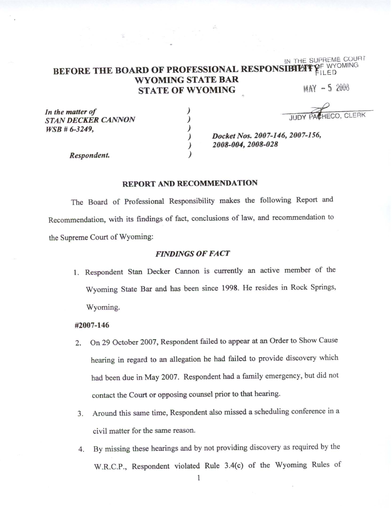#### BEFORE THE BOARD OF PROFESSIONAL RESPONSIBILITY FILED **WYOMING STATE BAR MAY -5 2008 STATE OF WYOMING**

In the matter of **STAN DECKER CANNON**  $WSB \# 6-3249$ ,

AHECO, CLERK

IN THE SUPREME COURT

Docket Nos. 2007-146, 2007-156, 2008-004, 2008-028

Respondent.

### **REPORT AND RECOMMENDATION**

)

 $\lambda$ 

)

 $\lambda$ 

The Board of Professional Responsibility makes the following Report and Recommendation, with its findings of fact, conclusions of law, and recommendation to the Supreme Court of Wyoming:

### **FINDINGS OF FACT**

1. Respondent Stan Decker Cannon is currently an active member of the Wyoming State Bar and has been since 1998. He resides in Rock Springs, Wyoming.

## #2007-146

- On 29 October 2007, Respondent failed to appear at an Order to Show Cause 2. hearing in regard to an allegation he had failed to provide discovery which had been due in May 2007. Respondent had a family emergency, but did not contact the Court or opposing counsel prior to that hearing.
- 3. Around this same time, Respondent also missed a scheduling conference in a civil matter for the same reason.
- 4. By missing these hearings and by not providing discovery as required by the W.R.C.P., Respondent violated Rule 3.4(c) of the Wyoming Rules of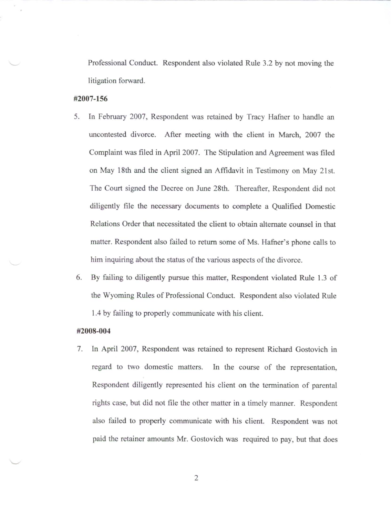Professional Conduct. Respondent also violated Rule 3.2 by not moving the litigation forward.

## #2007-156

- In February 2007, Respondent was retained by Tracy Hafner to handle an 5. uncontested divorce. After meeting with the client in March, 2007 the Complaint was filed in April 2007. The Stipulation and Agreement was filed on May 18th and the client signed an Affidavit in Testimony on May 21st. The Court signed the Decree on June 28th. Thereafter, Respondent did not diligently file the necessary documents to complete a Qualified Domestic Relations Order that necessitated the client to obtain alternate counsel in that matter. Respondent also failed to return some of Ms. Hafner's phone calls to him inquiring about the status of the various aspects of the divorce.
- By failing to diligently pursue this matter, Respondent violated Rule 1.3 of 6. the Wyoming Rules of Professional Conduct. Respondent also violated Rule 1.4 by failing to properly communicate with his client.

#### #2008-004

In April 2007, Respondent was retained to represent Richard Gostovich in 7. regard to two domestic matters. In the course of the representation, Respondent diligently represented his client on the termination of parental rights case, but did not file the other matter in a timely manner. Respondent also failed to properly communicate with his client. Respondent was not paid the retainer amounts Mr. Gostovich was required to pay, but that does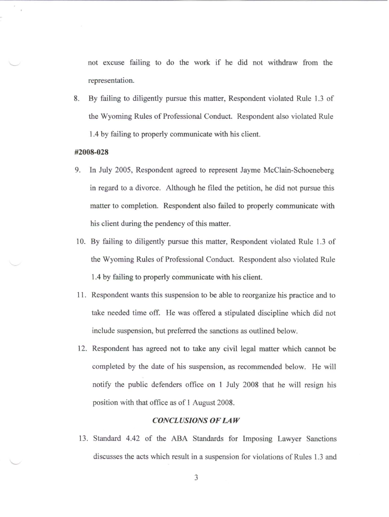not excuse failing to do the work if he did not withdraw from the representation.

By failing to diligently pursue this matter, Respondent violated Rule 1.3 of 8. the Wyoming Rules of Professional Conduct. Respondent also violated Rule 1.4 by failing to properly communicate with his client.

#### #2008-028

- 9. In July 2005, Respondent agreed to represent Jayme McClain-Schoeneberg in regard to a divorce. Although he filed the petition, he did not pursue this matter to completion. Respondent also failed to properly communicate with his client during the pendency of this matter.
- 10. By failing to diligently pursue this matter, Respondent violated Rule 1.3 of the Wyoming Rules of Professional Conduct. Respondent also violated Rule 1.4 by failing to properly communicate with his client.
- 11. Respondent wants this suspension to be able to reorganize his practice and to take needed time off. He was offered a stipulated discipline which did not include suspension, but preferred the sanctions as outlined below.
- 12. Respondent has agreed not to take any civil legal matter which cannot be completed by the date of his suspension, as recommended below. He will notify the public defenders office on 1 July 2008 that he will resign his position with that office as of 1 August 2008.

#### **CONCLUSIONS OF LAW**

13. Standard 4.42 of the ABA Standards for Imposing Lawyer Sanctions discusses the acts which result in a suspension for violations of Rules 1.3 and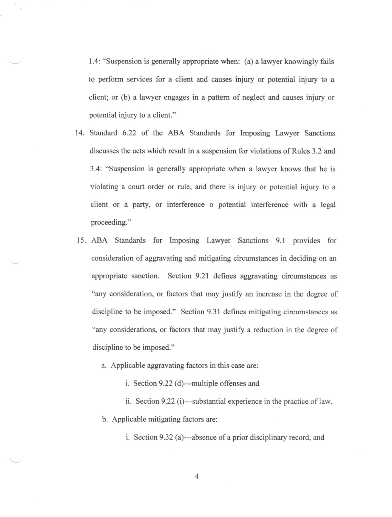1.4: "Suspension is generally appropriate when: (a) a lawyer knowingly fails to perform services for a client and causes injury or potential injury to a client; or (b) a lawyer engages in a pattern of neglect and causes injury or potential injury to a client."

- 14. Standard 6.22 of the ABA Standards for Imposing Lawyer Sanctions discusses the acts which result in a suspension for violations of Rules 3.2 and 3.4: "Suspension is generally appropriate when a lawyer knows that he is violating a court order or rule, and there is injury or potential injury to a client or a party, or interference o potential interference with a legal proceeding."
- 15. ABA Standards for Imposing Lawyer Sanctions 9.1 provides for consideration of aggravating and mitigating circumstances in deciding on an appropriate sanction. Section 9.21 defines aggravating circumstances as "any consideration, or factors that may justify an increase in the degree of discipline to be imposed." Section 9.31 defines mitigating circumstances as "any considerations, or factors that may justify a reduction in the degree of discipline to be imposed."
	- a. Applicable aggravating factors in this case are:
		- i. Section 9.22 (d)---multiple offenses and
	- ii. Section 9.22 (i)---substantial experience in the practice of law. b. Applicable mitigating factors are:

i. Section 9.32 (a)---absence of a prior disciplinary record, and

 $\overline{4}$